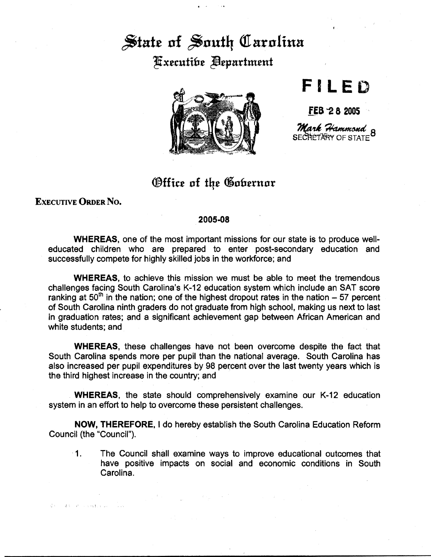# State of South Carolina **Executibe Bepartment**



## FILED

 $FEB - 28 2005$ 

**Mark Hammond**<br>SECHETARY OF STATE

### Office of the Gobernor

### EXECUTIVE ORDER No.

 $\sqrt[3]{\frac{1}{2}}$  and  $\sqrt[3]{\frac{1}{2}}$  and  $\sqrt[3]{\frac{1}{2}}$  . The second point  $\sqrt[3]{\frac{1}{2}}$  and  $\sqrt[3]{\frac{1}{2}}$ 

#### 2005-08

WHEREAS, one of the most important missions for our state is to produce welleducated children who are prepared to enter post-secondary education and successfully compete for highly skilled jobs in the workforce; and

WHEREAS, to achieve this mission we must be able to meet the tremendous challenges facing South Carolina's K-12 education system which include an SAT score ranking at  $50<sup>th</sup>$  in the nation; one of the highest dropout rates in the nation  $-57$  percent of South Carolina ninth graders do not graduate from high school, making us next to last in graduation rates; and a significant achievement gap between African American and white students; and

WHEREAS, these challenges have not been overcome despite the fact that South Carolina spends more per pupil than the national average. South Carolina has also increased per pupil expenditures by 98 percent over the last twenty years which is the third highest increase in the country; and

WHEREAS, the state should comprehensively examine our K-12 education system in an effort to help to overcome these persistent challenges.

NOW, THEREFORE, I do hereby establish the South Carolina Education Reform Council (the "Council").

1. The Council shall examine ways to improve educational outcomes that have positive impacts on social and economic conditions in South Carolina.